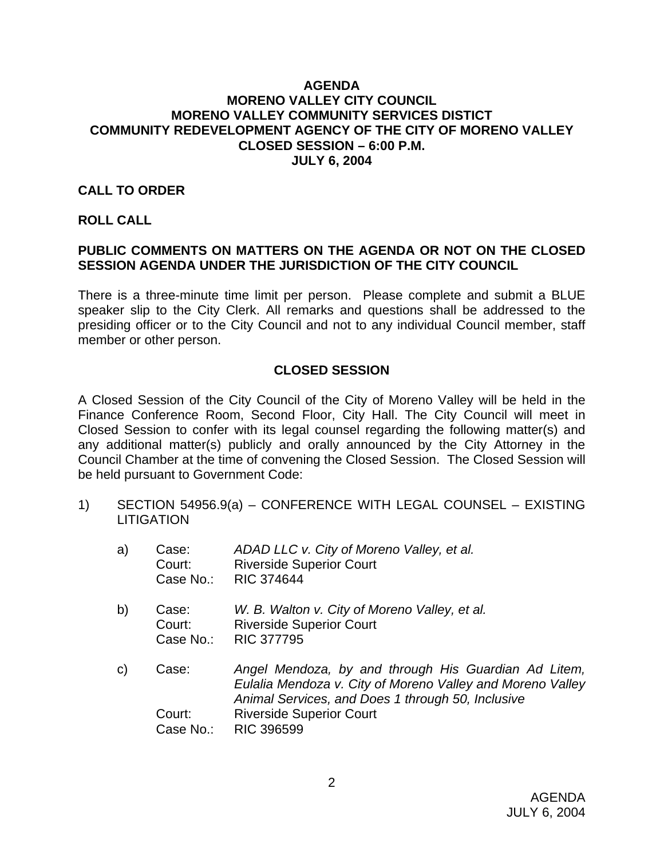#### **AGENDA MORENO VALLEY CITY COUNCIL MORENO VALLEY COMMUNITY SERVICES DISTICT COMMUNITY REDEVELOPMENT AGENCY OF THE CITY OF MORENO VALLEY CLOSED SESSION – 6:00 P.M. JULY 6, 2004**

#### **CALL TO ORDER**

#### **ROLL CALL**

# **PUBLIC COMMENTS ON MATTERS ON THE AGENDA OR NOT ON THE CLOSED SESSION AGENDA UNDER THE JURISDICTION OF THE CITY COUNCIL**

There is a three-minute time limit per person. Please complete and submit a BLUE speaker slip to the City Clerk. All remarks and questions shall be addressed to the presiding officer or to the City Council and not to any individual Council member, staff member or other person.

## **CLOSED SESSION**

A Closed Session of the City Council of the City of Moreno Valley will be held in the Finance Conference Room, Second Floor, City Hall. The City Council will meet in Closed Session to confer with its legal counsel regarding the following matter(s) and any additional matter(s) publicly and orally announced by the City Attorney in the Council Chamber at the time of convening the Closed Session. The Closed Session will be held pursuant to Government Code:

1) SECTION 54956.9(a) – CONFERENCE WITH LEGAL COUNSEL – EXISTING **LITIGATION** 

| a) | Case:<br>Court:<br>Case No.: | ADAD LLC v. City of Moreno Valley, et al.<br><b>Riverside Superior Court</b><br><b>RIC 374644</b>                                                                                                                               |
|----|------------------------------|---------------------------------------------------------------------------------------------------------------------------------------------------------------------------------------------------------------------------------|
| b) | Case:<br>Court:<br>Case No.: | W. B. Walton v. City of Moreno Valley, et al.<br><b>Riverside Superior Court</b><br><b>RIC 377795</b>                                                                                                                           |
| C) | Case:<br>Court:<br>Case No.: | Angel Mendoza, by and through His Guardian Ad Litem,<br>Eulalia Mendoza v. City of Moreno Valley and Moreno Valley<br>Animal Services, and Does 1 through 50, Inclusive<br><b>Riverside Superior Court</b><br><b>RIC 396599</b> |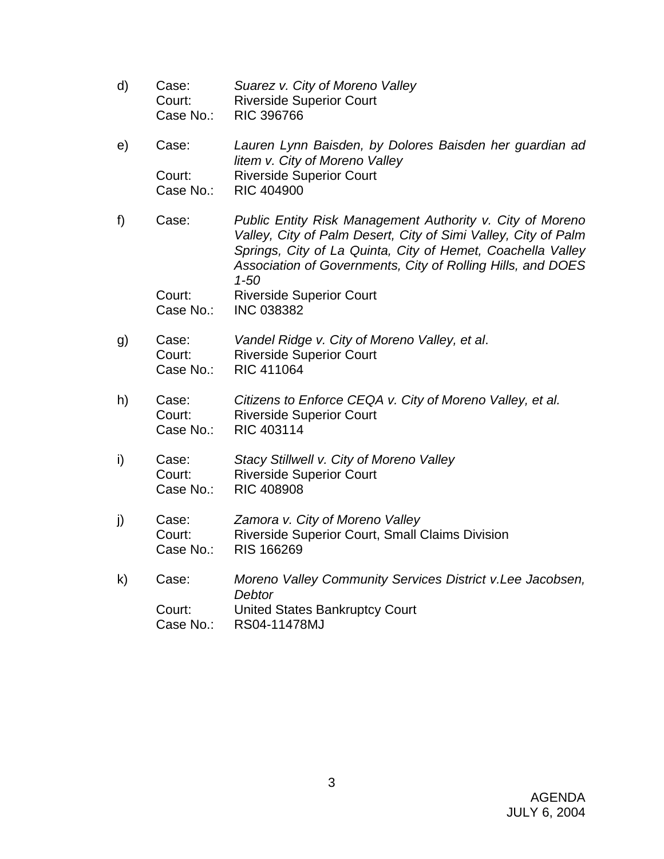d) Case: *Suarez v. City of Moreno Valley*  Court: Riverside Superior Court Case No.: RIC 396766 e) Case: *Lauren Lynn Baisden, by Dolores Baisden her guardian ad litem v. City of Moreno Valley*  Court: Riverside Superior Court Case No.: RIC 404900 f) Case: *Public Entity Risk Management Authority v. City of Moreno Valley, City of Palm Desert, City of Simi Valley, City of Palm Springs, City of La Quinta, City of Hemet, Coachella Valley Association of Governments, City of Rolling Hills, and DOES 1-50*  Court: Riverside Superior Court Case No.: INC 038382 g) Case: *Vandel Ridge v. City of Moreno Valley, et al*. Court: Riverside Superior Court Case No.: RIC 411064 h) Case: *Citizens to Enforce CEQA v. City of Moreno Valley, et al.* Court: Riverside Superior Court Case No.: RIC 403114 i) Case: *Stacy Stillwell v. City of Moreno Valley*  Court: Riverside Superior Court Case No.: RIC 408908 j) Case: *Zamora v. City of Moreno Valley*  Court: Riverside Superior Court, Small Claims Division Case No.: RIS 166269 k) Case: *Moreno Valley Community Services District v.Lee Jacobsen, Debtor*  Court: United States Bankruptcy Court Case No.: RS04-11478MJ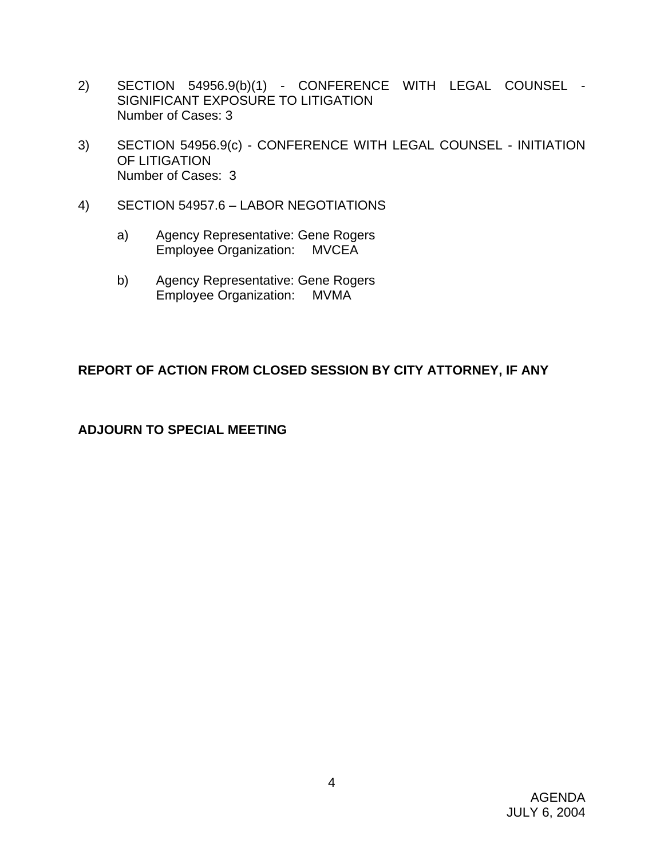- 2) SECTION 54956.9(b)(1) CONFERENCE WITH LEGAL COUNSEL SIGNIFICANT EXPOSURE TO LITIGATION Number of Cases: 3
- 3) SECTION 54956.9(c) CONFERENCE WITH LEGAL COUNSEL INITIATION OF LITIGATION Number of Cases: 3
- 4) SECTION 54957.6 LABOR NEGOTIATIONS
	- a) Agency Representative: Gene Rogers Employee Organization: MVCEA
	- b) Agency Representative: Gene Rogers Employee Organization: MVMA

# **REPORT OF ACTION FROM CLOSED SESSION BY CITY ATTORNEY, IF ANY**

# **ADJOURN TO SPECIAL MEETING**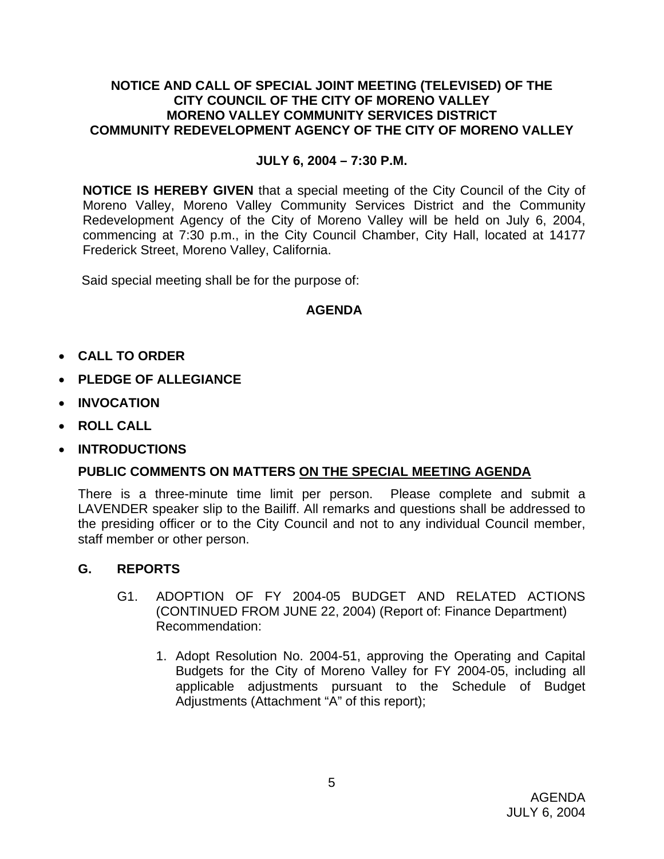#### **NOTICE AND CALL OF SPECIAL JOINT MEETING (TELEVISED) OF THE CITY COUNCIL OF THE CITY OF MORENO VALLEY MORENO VALLEY COMMUNITY SERVICES DISTRICT COMMUNITY REDEVELOPMENT AGENCY OF THE CITY OF MORENO VALLEY**

# **JULY 6, 2004 – 7:30 P.M.**

**NOTICE IS HEREBY GIVEN** that a special meeting of the City Council of the City of Moreno Valley, Moreno Valley Community Services District and the Community Redevelopment Agency of the City of Moreno Valley will be held on July 6, 2004, commencing at 7:30 p.m., in the City Council Chamber, City Hall, located at 14177 Frederick Street, Moreno Valley, California.

Said special meeting shall be for the purpose of:

# **AGENDA**

- **CALL TO ORDER**
- **PLEDGE OF ALLEGIANCE**
- **INVOCATION**
- **ROLL CALL**
- **INTRODUCTIONS**

## **PUBLIC COMMENTS ON MATTERS ON THE SPECIAL MEETING AGENDA**

There is a three-minute time limit per person. Please complete and submit a LAVENDER speaker slip to the Bailiff. All remarks and questions shall be addressed to the presiding officer or to the City Council and not to any individual Council member, staff member or other person.

## **G. REPORTS**

- G1. ADOPTION OF FY 2004-05 BUDGET AND RELATED ACTIONS (CONTINUED FROM JUNE 22, 2004) (Report of: Finance Department) Recommendation:
	- 1. Adopt Resolution No. 2004-51, approving the Operating and Capital Budgets for the City of Moreno Valley for FY 2004-05, including all applicable adjustments pursuant to the Schedule of Budget Adjustments (Attachment "A" of this report);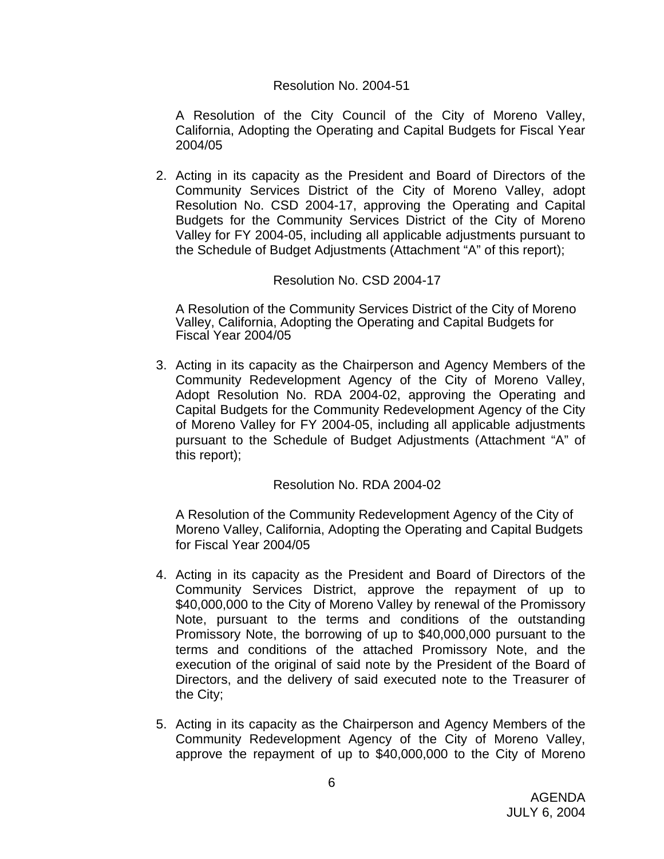#### Resolution No. 2004-51

 A Resolution of the City Council of the City of Moreno Valley, California, Adopting the Operating and Capital Budgets for Fiscal Year 2004/05

2. Acting in its capacity as the President and Board of Directors of the Community Services District of the City of Moreno Valley, adopt Resolution No. CSD 2004-17, approving the Operating and Capital Budgets for the Community Services District of the City of Moreno Valley for FY 2004-05, including all applicable adjustments pursuant to the Schedule of Budget Adjustments (Attachment "A" of this report);

## Resolution No. CSD 2004-17

 A Resolution of the Community Services District of the City of Moreno Valley, California, Adopting the Operating and Capital Budgets for Fiscal Year 2004/05

3. Acting in its capacity as the Chairperson and Agency Members of the Community Redevelopment Agency of the City of Moreno Valley, Adopt Resolution No. RDA 2004-02, approving the Operating and Capital Budgets for the Community Redevelopment Agency of the City of Moreno Valley for FY 2004-05, including all applicable adjustments pursuant to the Schedule of Budget Adjustments (Attachment "A" of this report);

Resolution No. RDA 2004-02

A Resolution of the Community Redevelopment Agency of the City of Moreno Valley, California, Adopting the Operating and Capital Budgets for Fiscal Year 2004/05

- 4. Acting in its capacity as the President and Board of Directors of the Community Services District, approve the repayment of up to \$40,000,000 to the City of Moreno Valley by renewal of the Promissory Note, pursuant to the terms and conditions of the outstanding Promissory Note, the borrowing of up to \$40,000,000 pursuant to the terms and conditions of the attached Promissory Note, and the execution of the original of said note by the President of the Board of Directors, and the delivery of said executed note to the Treasurer of the City;
- 5. Acting in its capacity as the Chairperson and Agency Members of the Community Redevelopment Agency of the City of Moreno Valley, approve the repayment of up to \$40,000,000 to the City of Moreno